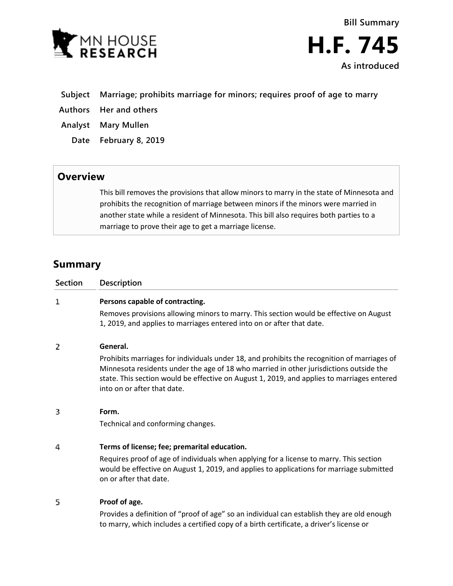



- **Subject Marriage; prohibits marriage for minors; requires proof of age to marry**
- **Authors Her and others**
- **Analyst Mary Mullen**
	- **Date February 8, 2019**

## **Overview**

This bill removes the provisions that allow minors to marry in the state of Minnesota and prohibits the recognition of marriage between minors if the minors were married in another state while a resident of Minnesota. This bill also requires both parties to a marriage to prove their age to get a marriage license.

## **Summary**

| <b>Section</b> | <b>Description</b>                                                                                                                                                                                                                                                                                                 |
|----------------|--------------------------------------------------------------------------------------------------------------------------------------------------------------------------------------------------------------------------------------------------------------------------------------------------------------------|
| 1              | Persons capable of contracting.                                                                                                                                                                                                                                                                                    |
|                | Removes provisions allowing minors to marry. This section would be effective on August<br>1, 2019, and applies to marriages entered into on or after that date.                                                                                                                                                    |
| 2              | General.                                                                                                                                                                                                                                                                                                           |
|                | Prohibits marriages for individuals under 18, and prohibits the recognition of marriages of<br>Minnesota residents under the age of 18 who married in other jurisdictions outside the<br>state. This section would be effective on August 1, 2019, and applies to marriages entered<br>into on or after that date. |
| 3              | Form.                                                                                                                                                                                                                                                                                                              |
|                | Technical and conforming changes.                                                                                                                                                                                                                                                                                  |
| 4              | Terms of license; fee; premarital education.                                                                                                                                                                                                                                                                       |
|                | Requires proof of age of individuals when applying for a license to marry. This section<br>would be effective on August 1, 2019, and applies to applications for marriage submitted<br>on or after that date.                                                                                                      |
| 5              | Proof of age.                                                                                                                                                                                                                                                                                                      |
|                | Provides a definition of "proof of age" so an individual can establish they are old enough<br>to marry, which includes a certified copy of a birth certificate, a driver's license or                                                                                                                              |